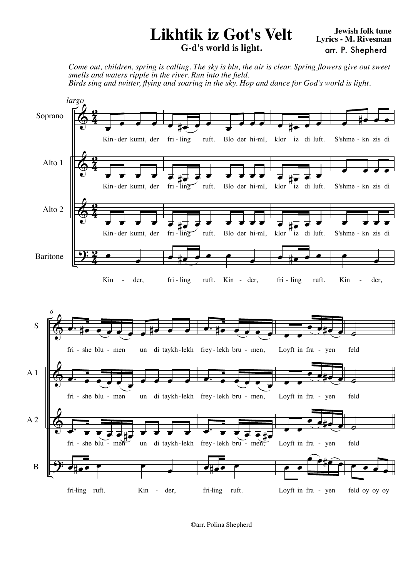## **Likhtik iz Got's Velt G-d's world is light.**

*Come out, children, spring is calling. The sky is blu, the air is clear. Spring flowers give out sweet smells and waters ripple in the river. Run into the field. Birds sing and twitter, flying and soaring in the sky. Hop and dance for God's world is light.*





©arr. Polina Shepherd